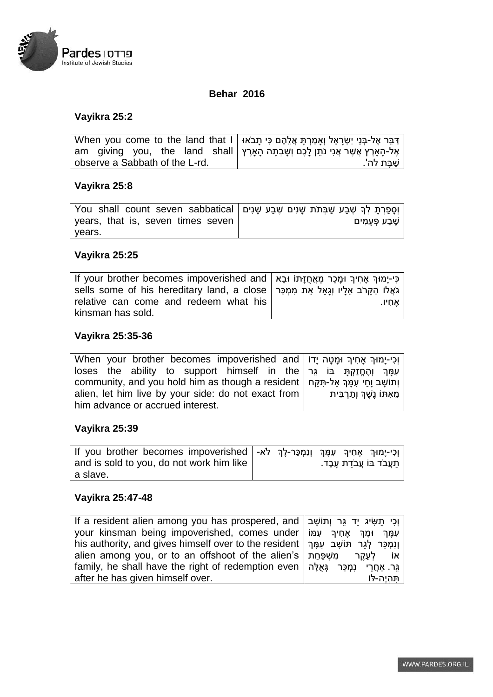

#### **Behar 2016**

# **Vayikra 25:2**

| דַּבֵּר אֶל-בְּנֵי יִשְׂרָאֵל וְאָמַרְתָּ אֲלֵהֶם כִּי תָבֹאוּ When you come to the land that I   |              |
|---------------------------------------------------------------------------------------------------|--------------|
| am   giving   you,   the   land   shall   אֶל-הָאָרֶץ אֲשֶׁר אֲנִי נֹתֵן לָכֶם וְשָׁבְתָה הָאָרֶץ |              |
| observe a Sabbath of the L-rd.                                                                    | שַׁבַּת לה'. |

#### **Vayikra 25:8**

| ן פְרַתָּ לְךָ שֶׁבַע שַׁבְּתֹת שָׁנִים שַׁבַע שָׁנִים   You shall count seven sabbatical |                    |
|-------------------------------------------------------------------------------------------|--------------------|
| years, that is, seven times seven                                                         | ∣ שֶׁבַע פְּעָמִים |
| years.                                                                                    |                    |

## **Vayikra 25:25**

| lf your brother becomes impoverished and   כִּי-יָמוּךְ אָחִיךְ וּמָכַר מֵאֲחֻזָּתוֹ וּבָא |       |
|--------------------------------------------------------------------------------------------|-------|
| sells some of his hereditary land, a close   גֹאֲלוֹ הַקָּרֹב אֵלָיו וְגָאַל אֵת מִמְכַּר  |       |
| relative can come and redeem what his                                                      | אחיו. |
| kinsman has sold.                                                                          |       |

## **Vayikra 25:35-36**

| Vhen your brother becomes impoverished and   וְכִי-יַמוּךְ אַחִיךְ וּמַטָה יַדוֹ     |  |
|--------------------------------------------------------------------------------------|--|
| loses the ability to support himself in the   עְמַךְ וְהֶחֱזָקְתַּ בּוֹ גֵּר         |  |
| community, and you hold him as though a resident   וְתוֹשַׁב וַחַי עַמַּךְ אל-תָּקֵח |  |
| alien, let him live by your side: do not exact from   מֵאִתּוֹ נֵשֶׁךְ וְתַרְבִּית   |  |
| him advance or accrued interest.                                                     |  |

## **Vayikra 25:39**

| וְכִי-יָמוּךְ אָחִיךְ עִמָּךְ וְנִמְכַּר-לָךְ לֹא-   If you brother becomes impoverished |  |  |                               |
|------------------------------------------------------------------------------------------|--|--|-------------------------------|
| and is sold to you, do not work him like                                                 |  |  | ן תַעֲבֹד בּוֹ עֲבֹדַת עֲבֶד. |
| a slave.                                                                                 |  |  |                               |

## **Vayikra 25:47-48**

| lf a resident alien among you has prospered, and   וְכִי תַשִּׂיג יַד גֵּר וְתוֹשָׁב      |           |
|-------------------------------------------------------------------------------------------|-----------|
| your kinsman being impoverished, comes under   עְמַךְ וּמָךְ אַחִיךְ עִמּוֹ               |           |
| his authority, and gives himself over to the resident   וְנָמְכֵּר לְגֶר תּוֹשָׁב עְמַּךְ |           |
| alien among you, or to an offshoot of the alien's   אוֹ לְעֵקֵר מִשְׁפַּחַת               |           |
| גֵּר. אחֱרֵי נִמְכָּר גְּאִלֵּה   family, he shall have the right of redemption even      |           |
| after he has given himself over.                                                          | תהיה-לּוֹ |